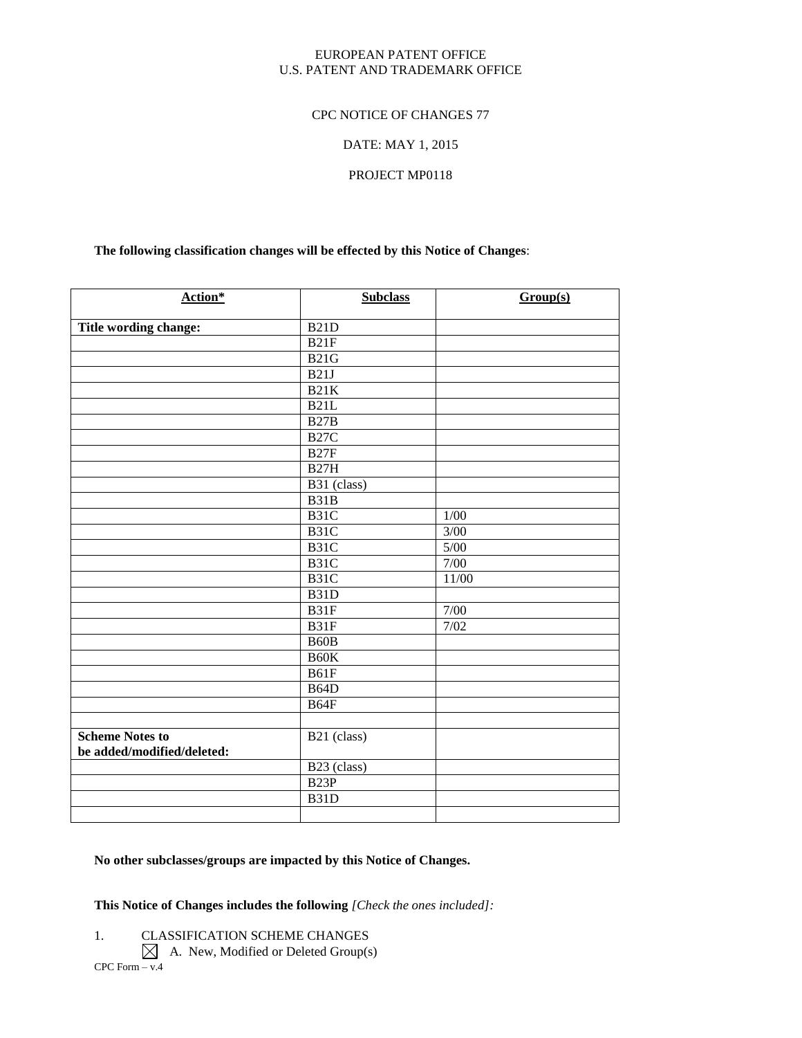#### EUROPEAN PATENT OFFICE U.S. PATENT AND TRADEMARK OFFICE

#### CPC NOTICE OF CHANGES 77

#### DATE: MAY 1, 2015

#### PROJECT MP0118

#### **The following classification changes will be effected by this Notice of Changes**:

| Action*                    | <b>Subclass</b>         | Group(s) |
|----------------------------|-------------------------|----------|
| Title wording change:      | <b>B21D</b>             |          |
|                            | B21F                    |          |
|                            | <b>B21G</b>             |          |
|                            | B21J                    |          |
|                            | <b>B21K</b>             |          |
|                            | B21L                    |          |
|                            | B27B                    |          |
|                            | $_{\rm B27C}$           |          |
|                            | B <sub>27F</sub>        |          |
|                            | <b>B27H</b>             |          |
|                            | B <sub>31</sub> (class) |          |
|                            | B31B                    |          |
|                            | B <sub>31</sub> C       | $1/00$   |
|                            | B31C                    | 3/00     |
|                            | B31C                    | $5/00$   |
|                            | B31C                    | 7/00     |
|                            | B31C                    | 11/00    |
|                            | B <sub>31</sub> D       |          |
|                            | B31F                    | 7/00     |
|                            | B31F                    | 7/02     |
|                            | B <sub>60</sub> B       |          |
|                            | B60K                    |          |
|                            | B61F                    |          |
|                            | B64D                    |          |
|                            | <b>B64F</b>             |          |
|                            |                         |          |
| <b>Scheme Notes to</b>     | B21 (class)             |          |
| be added/modified/deleted: |                         |          |
|                            | B <sub>23</sub> (class) |          |
|                            | B23P                    |          |
|                            | B31D                    |          |
|                            |                         |          |

# **No other subclasses/groups are impacted by this Notice of Changes.**

## **This Notice of Changes includes the following** *[Check the ones included]:*

- 1. CLASSIFICATION SCHEME CHANGES
- $CPC$  Form  $-\overline{v.4}$  $\boxtimes$  A. New, Modified or Deleted Group(s)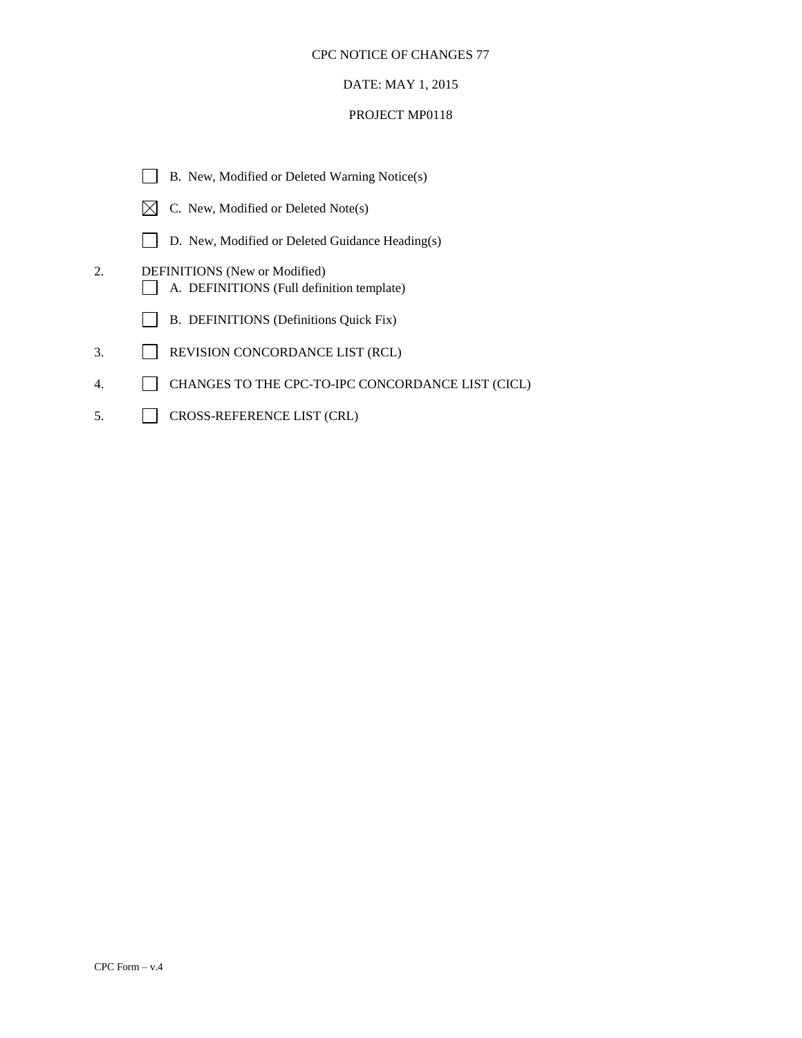## DATE: MAY 1, 2015

|     | B. New, Modified or Deleted Warning Notice(s)                                     |
|-----|-----------------------------------------------------------------------------------|
|     | C. New, Modified or Deleted Note(s)                                               |
|     | D. New, Modified or Deleted Guidance Heading(s)                                   |
| 2.  | <b>DEFINITIONS</b> (New or Modified)<br>A. DEFINITIONS (Full definition template) |
|     | B. DEFINITIONS (Definitions Quick Fix)                                            |
| 3.  | REVISION CONCORDANCE LIST (RCL)                                                   |
| 4.  | CHANGES TO THE CPC-TO-IPC CONCORDANCE LIST (CICL)                                 |
| .5. | <b>CROSS-REFERENCE LIST (CRL)</b>                                                 |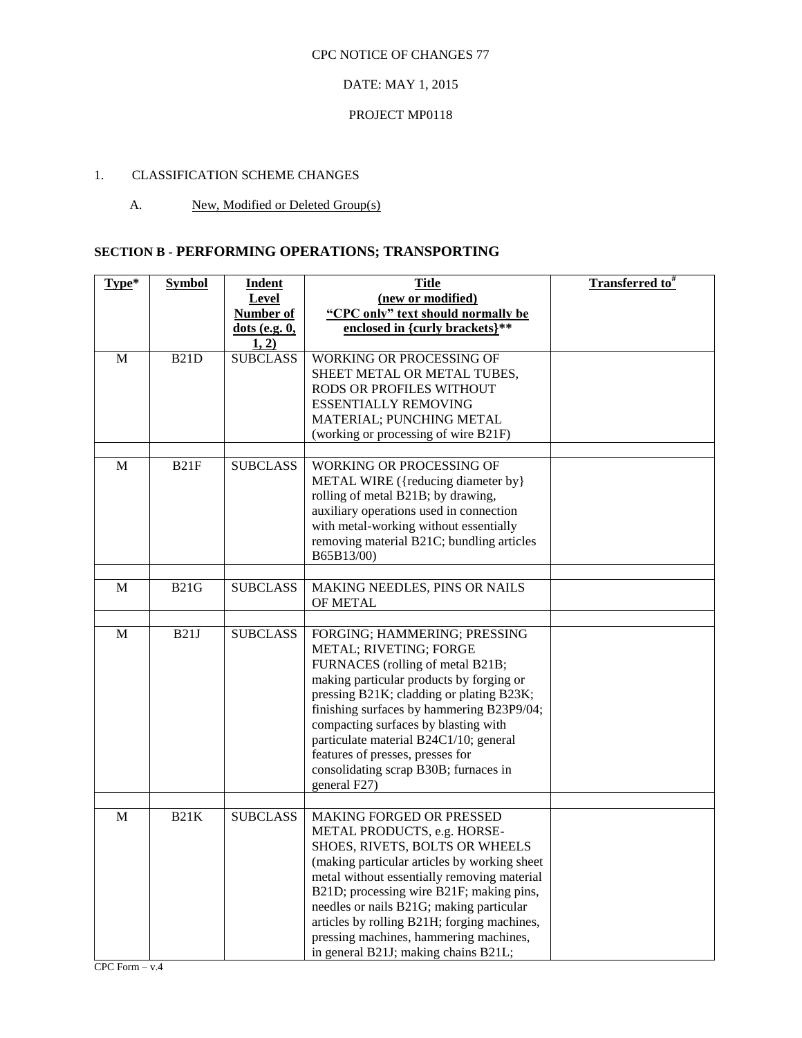## DATE: MAY 1, 2015

#### PROJECT MP0118

# 1. CLASSIFICATION SCHEME CHANGES

### A. New, Modified or Deleted Group(s)

# **SECTION B - PERFORMING OPERATIONS; TRANSPORTING**

| Type*       | <b>Symbol</b> | <b>Indent</b><br>Level                     | <b>Title</b><br>(new or modified)                                                                                                                                                                                                                                                                                                                                                                                 | <b>Transferred to</b> # |
|-------------|---------------|--------------------------------------------|-------------------------------------------------------------------------------------------------------------------------------------------------------------------------------------------------------------------------------------------------------------------------------------------------------------------------------------------------------------------------------------------------------------------|-------------------------|
|             |               | <b>Number of</b><br>dots (e.g. 0,<br>1, 2) | "CPC only" text should normally be<br>enclosed in {curly brackets}**                                                                                                                                                                                                                                                                                                                                              |                         |
| M           | <b>B21D</b>   | <b>SUBCLASS</b>                            | WORKING OR PROCESSING OF<br>SHEET METAL OR METAL TUBES,<br>RODS OR PROFILES WITHOUT<br><b>ESSENTIALLY REMOVING</b><br>MATERIAL; PUNCHING METAL<br>(working or processing of wire B21F)                                                                                                                                                                                                                            |                         |
| M           | B21F          | <b>SUBCLASS</b>                            | WORKING OR PROCESSING OF<br>METAL WIRE ({reducing diameter by}<br>rolling of metal B21B; by drawing,<br>auxiliary operations used in connection<br>with metal-working without essentially<br>removing material B21C; bundling articles<br>B65B13/00)                                                                                                                                                              |                         |
| M           | <b>B21G</b>   | <b>SUBCLASS</b>                            | MAKING NEEDLES, PINS OR NAILS<br>OF METAL                                                                                                                                                                                                                                                                                                                                                                         |                         |
| $\mathbf M$ | B21J          | <b>SUBCLASS</b>                            | FORGING; HAMMERING; PRESSING<br>METAL; RIVETING; FORGE<br>FURNACES (rolling of metal B21B;<br>making particular products by forging or<br>pressing B21K; cladding or plating B23K;<br>finishing surfaces by hammering B23P9/04;<br>compacting surfaces by blasting with<br>particulate material B24C1/10; general<br>features of presses, presses for<br>consolidating scrap B30B; furnaces in<br>general F27)    |                         |
|             |               |                                            |                                                                                                                                                                                                                                                                                                                                                                                                                   |                         |
| M           | <b>B21K</b>   | <b>SUBCLASS</b>                            | MAKING FORGED OR PRESSED<br>METAL PRODUCTS, e.g. HORSE-<br>SHOES, RIVETS, BOLTS OR WHEELS<br>(making particular articles by working sheet<br>metal without essentially removing material<br>B21D; processing wire B21F; making pins,<br>needles or nails B21G; making particular<br>articles by rolling B21H; forging machines,<br>pressing machines, hammering machines,<br>in general B21J; making chains B21L; |                         |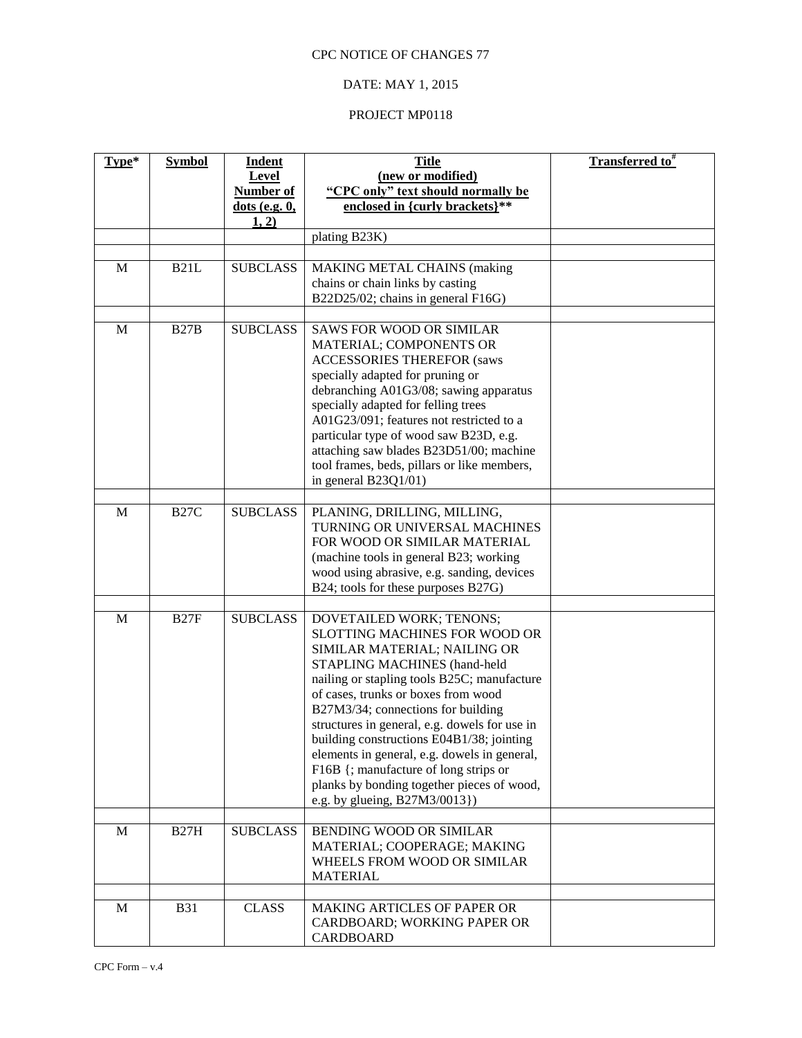# DATE: MAY 1, 2015

| Level<br>(new or modified)<br>"CPC only" text should normally be<br><b>Number of</b><br>enclosed in {curly brackets}**<br>$dots$ (e.g. $0$ ,<br>1, 2)<br>plating B23K)<br><b>SUBCLASS</b><br>M<br>B21L<br><b>MAKING METAL CHAINS (making</b><br>chains or chain links by casting<br>B22D25/02; chains in general F16G)<br><b>SUBCLASS</b><br>M<br><b>B27B</b><br><b>SAWS FOR WOOD OR SIMILAR</b><br>MATERIAL; COMPONENTS OR<br><b>ACCESSORIES THEREFOR (saws</b> | Transferred to# |
|------------------------------------------------------------------------------------------------------------------------------------------------------------------------------------------------------------------------------------------------------------------------------------------------------------------------------------------------------------------------------------------------------------------------------------------------------------------|-----------------|
|                                                                                                                                                                                                                                                                                                                                                                                                                                                                  |                 |
|                                                                                                                                                                                                                                                                                                                                                                                                                                                                  |                 |
|                                                                                                                                                                                                                                                                                                                                                                                                                                                                  |                 |
|                                                                                                                                                                                                                                                                                                                                                                                                                                                                  |                 |
|                                                                                                                                                                                                                                                                                                                                                                                                                                                                  |                 |
|                                                                                                                                                                                                                                                                                                                                                                                                                                                                  |                 |
|                                                                                                                                                                                                                                                                                                                                                                                                                                                                  |                 |
|                                                                                                                                                                                                                                                                                                                                                                                                                                                                  |                 |
|                                                                                                                                                                                                                                                                                                                                                                                                                                                                  |                 |
|                                                                                                                                                                                                                                                                                                                                                                                                                                                                  |                 |
| specially adapted for pruning or<br>debranching A01G3/08; sawing apparatus                                                                                                                                                                                                                                                                                                                                                                                       |                 |
| specially adapted for felling trees                                                                                                                                                                                                                                                                                                                                                                                                                              |                 |
| A01G23/091; features not restricted to a                                                                                                                                                                                                                                                                                                                                                                                                                         |                 |
| particular type of wood saw B23D, e.g.<br>attaching saw blades B23D51/00; machine                                                                                                                                                                                                                                                                                                                                                                                |                 |
| tool frames, beds, pillars or like members,                                                                                                                                                                                                                                                                                                                                                                                                                      |                 |
| in general $B23Q1/01$ )                                                                                                                                                                                                                                                                                                                                                                                                                                          |                 |
| <b>SUBCLASS</b><br>M<br><b>B27C</b><br>PLANING, DRILLING, MILLING,                                                                                                                                                                                                                                                                                                                                                                                               |                 |
| TURNING OR UNIVERSAL MACHINES                                                                                                                                                                                                                                                                                                                                                                                                                                    |                 |
| FOR WOOD OR SIMILAR MATERIAL                                                                                                                                                                                                                                                                                                                                                                                                                                     |                 |
| (machine tools in general B23; working<br>wood using abrasive, e.g. sanding, devices                                                                                                                                                                                                                                                                                                                                                                             |                 |
| B24; tools for these purposes B27G)                                                                                                                                                                                                                                                                                                                                                                                                                              |                 |
|                                                                                                                                                                                                                                                                                                                                                                                                                                                                  |                 |
| <b>SUBCLASS</b><br>M<br>B27F<br>DOVETAILED WORK; TENONS;<br><b>SLOTTING MACHINES FOR WOOD OR</b>                                                                                                                                                                                                                                                                                                                                                                 |                 |
| SIMILAR MATERIAL; NAILING OR                                                                                                                                                                                                                                                                                                                                                                                                                                     |                 |
| STAPLING MACHINES (hand-held                                                                                                                                                                                                                                                                                                                                                                                                                                     |                 |
| nailing or stapling tools B25C; manufacture<br>of cases, trunks or boxes from wood                                                                                                                                                                                                                                                                                                                                                                               |                 |
| B27M3/34; connections for building                                                                                                                                                                                                                                                                                                                                                                                                                               |                 |
| structures in general, e.g. dowels for use in                                                                                                                                                                                                                                                                                                                                                                                                                    |                 |
| building constructions E04B1/38; jointing                                                                                                                                                                                                                                                                                                                                                                                                                        |                 |
| elements in general, e.g. dowels in general,<br>F16B {; manufacture of long strips or                                                                                                                                                                                                                                                                                                                                                                            |                 |
| planks by bonding together pieces of wood,                                                                                                                                                                                                                                                                                                                                                                                                                       |                 |
| e.g. by glueing, B27M3/0013})                                                                                                                                                                                                                                                                                                                                                                                                                                    |                 |
| <b>SUBCLASS</b><br>BENDING WOOD OR SIMILAR<br><b>B27H</b><br>M                                                                                                                                                                                                                                                                                                                                                                                                   |                 |
| MATERIAL; COOPERAGE; MAKING                                                                                                                                                                                                                                                                                                                                                                                                                                      |                 |
| WHEELS FROM WOOD OR SIMILAR                                                                                                                                                                                                                                                                                                                                                                                                                                      |                 |
| <b>MATERIAL</b>                                                                                                                                                                                                                                                                                                                                                                                                                                                  |                 |
| <b>CLASS</b><br>MAKING ARTICLES OF PAPER OR<br>M<br><b>B31</b>                                                                                                                                                                                                                                                                                                                                                                                                   |                 |
| CARDBOARD; WORKING PAPER OR<br>CARDBOARD                                                                                                                                                                                                                                                                                                                                                                                                                         |                 |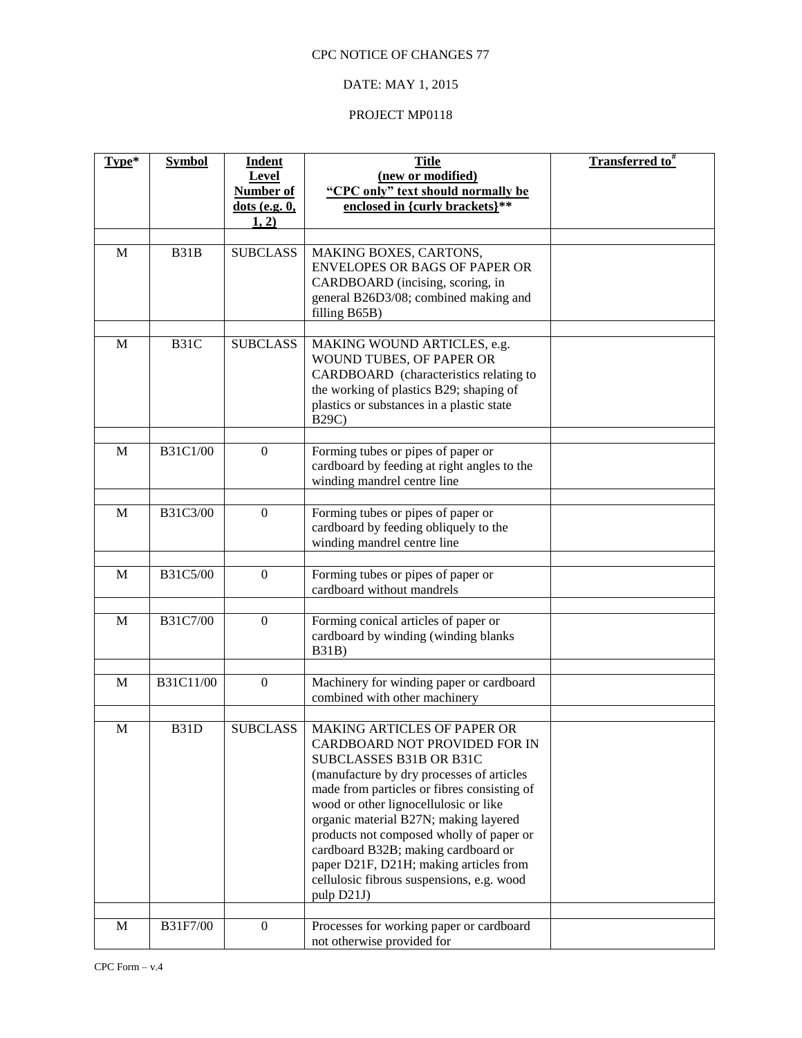# DATE: MAY 1, 2015

| Type*       | <b>Symbol</b> | Indent<br><b>Level</b><br>Number of<br>$dots$ (e.g. $0$ , | <b>Title</b><br>(new or modified)<br>"CPC only" text should normally be<br>enclosed in {curly brackets}**                                                                                                                                                                                                                                                                                                                                                     | <b>Transferred to</b> <sup>#</sup> |
|-------------|---------------|-----------------------------------------------------------|---------------------------------------------------------------------------------------------------------------------------------------------------------------------------------------------------------------------------------------------------------------------------------------------------------------------------------------------------------------------------------------------------------------------------------------------------------------|------------------------------------|
|             |               | 1, 2)                                                     |                                                                                                                                                                                                                                                                                                                                                                                                                                                               |                                    |
| M           | B31B          | <b>SUBCLASS</b>                                           | MAKING BOXES, CARTONS,<br><b>ENVELOPES OR BAGS OF PAPER OR</b><br>CARDBOARD (incising, scoring, in<br>general B26D3/08; combined making and<br>filling B65B)                                                                                                                                                                                                                                                                                                  |                                    |
| M           | B31C          | <b>SUBCLASS</b>                                           | MAKING WOUND ARTICLES, e.g.<br>WOUND TUBES, OF PAPER OR<br>CARDBOARD (characteristics relating to<br>the working of plastics B29; shaping of<br>plastics or substances in a plastic state<br><b>B29C)</b>                                                                                                                                                                                                                                                     |                                    |
| M           | B31C1/00      | $\overline{0}$                                            | Forming tubes or pipes of paper or<br>cardboard by feeding at right angles to the<br>winding mandrel centre line                                                                                                                                                                                                                                                                                                                                              |                                    |
| M           | B31C3/00      | $\overline{0}$                                            | Forming tubes or pipes of paper or<br>cardboard by feeding obliquely to the<br>winding mandrel centre line                                                                                                                                                                                                                                                                                                                                                    |                                    |
| M           | B31C5/00      | $\overline{0}$                                            | Forming tubes or pipes of paper or<br>cardboard without mandrels                                                                                                                                                                                                                                                                                                                                                                                              |                                    |
| M           | B31C7/00      | $\overline{0}$                                            | Forming conical articles of paper or<br>cardboard by winding (winding blanks<br><b>B31B</b> )                                                                                                                                                                                                                                                                                                                                                                 |                                    |
| M           | B31C11/00     | $\mathbf{0}$                                              | Machinery for winding paper or cardboard<br>combined with other machinery                                                                                                                                                                                                                                                                                                                                                                                     |                                    |
| $\mathbf M$ | B31D          | <b>SUBCLASS</b>                                           | MAKING ARTICLES OF PAPER OR<br>CARDBOARD NOT PROVIDED FOR IN<br>SUBCLASSES B31B OR B31C<br>(manufacture by dry processes of articles<br>made from particles or fibres consisting of<br>wood or other lignocellulosic or like<br>organic material B27N; making layered<br>products not composed wholly of paper or<br>cardboard B32B; making cardboard or<br>paper D21F, D21H; making articles from<br>cellulosic fibrous suspensions, e.g. wood<br>pulp D21J) |                                    |
| M           | B31F7/00      | $\overline{0}$                                            | Processes for working paper or cardboard<br>not otherwise provided for                                                                                                                                                                                                                                                                                                                                                                                        |                                    |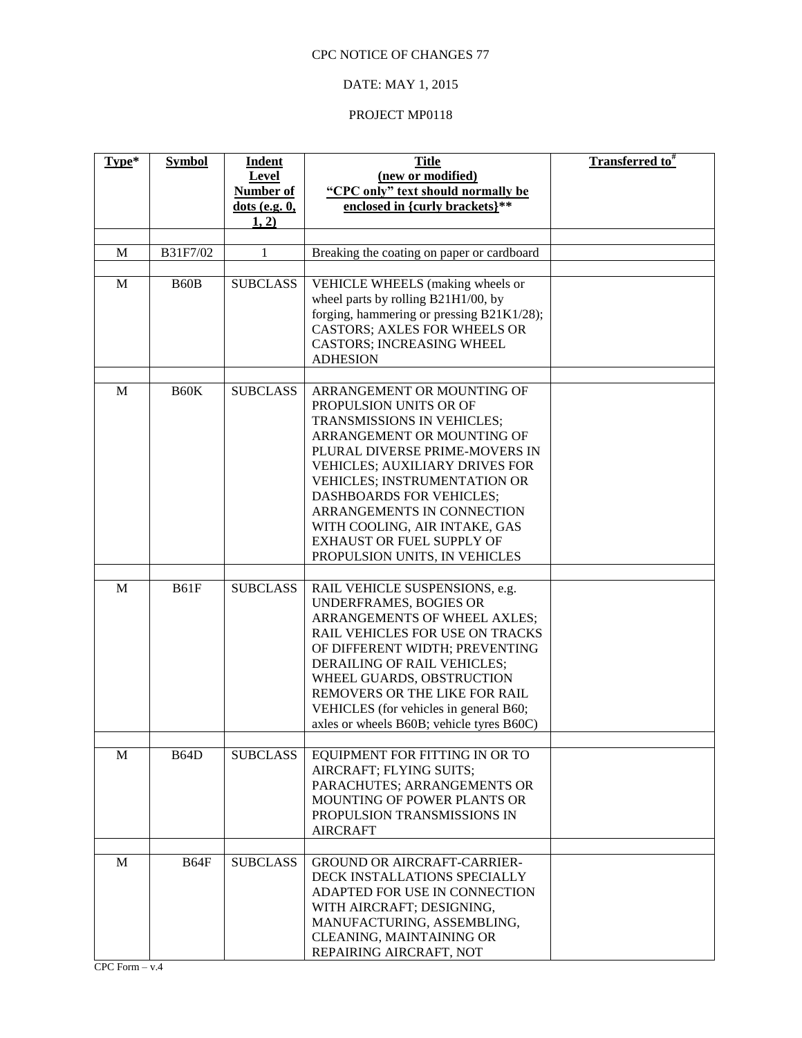# DATE: MAY 1, 2015

| Type*       | <b>Symbol</b>     | <b>Indent</b><br>Level<br>Number of<br>$dots$ (e.g. $0$ ,<br>1, 2) | <b>Title</b><br>(new or modified)<br>"CPC only" text should normally be<br>enclosed in {curly brackets}**                                                                                                                                                                                                                                                                                   | <b>Transferred to</b> # |
|-------------|-------------------|--------------------------------------------------------------------|---------------------------------------------------------------------------------------------------------------------------------------------------------------------------------------------------------------------------------------------------------------------------------------------------------------------------------------------------------------------------------------------|-------------------------|
|             |                   |                                                                    |                                                                                                                                                                                                                                                                                                                                                                                             |                         |
| $\mathbf M$ | B31F7/02          | $\mathbf{1}$                                                       | Breaking the coating on paper or cardboard                                                                                                                                                                                                                                                                                                                                                  |                         |
| $\mathbf M$ | B <sub>60</sub> B | <b>SUBCLASS</b>                                                    | VEHICLE WHEELS (making wheels or<br>wheel parts by rolling B21H1/00, by<br>forging, hammering or pressing B21K1/28);<br>CASTORS; AXLES FOR WHEELS OR<br><b>CASTORS; INCREASING WHEEL</b><br><b>ADHESION</b>                                                                                                                                                                                 |                         |
| M           | <b>B60K</b>       | <b>SUBCLASS</b>                                                    | ARRANGEMENT OR MOUNTING OF<br>PROPULSION UNITS OR OF<br>TRANSMISSIONS IN VEHICLES;<br>ARRANGEMENT OR MOUNTING OF<br>PLURAL DIVERSE PRIME-MOVERS IN<br><b>VEHICLES; AUXILIARY DRIVES FOR</b><br>VEHICLES; INSTRUMENTATION OR<br><b>DASHBOARDS FOR VEHICLES;</b><br>ARRANGEMENTS IN CONNECTION<br>WITH COOLING, AIR INTAKE, GAS<br>EXHAUST OR FUEL SUPPLY OF<br>PROPULSION UNITS, IN VEHICLES |                         |
|             |                   |                                                                    |                                                                                                                                                                                                                                                                                                                                                                                             |                         |
| M           | <b>B61F</b>       | <b>SUBCLASS</b>                                                    | RAIL VEHICLE SUSPENSIONS, e.g.<br>UNDERFRAMES, BOGIES OR<br>ARRANGEMENTS OF WHEEL AXLES;<br>RAIL VEHICLES FOR USE ON TRACKS<br>OF DIFFERENT WIDTH; PREVENTING<br>DERAILING OF RAIL VEHICLES;<br>WHEEL GUARDS, OBSTRUCTION<br>REMOVERS OR THE LIKE FOR RAIL<br>VEHICLES (for vehicles in general B60;<br>axles or wheels B60B; vehicle tyres B60C)                                           |                         |
|             |                   |                                                                    |                                                                                                                                                                                                                                                                                                                                                                                             |                         |
| M           | <b>B64D</b>       | <b>SUBCLASS</b>                                                    | EQUIPMENT FOR FITTING IN OR TO<br>AIRCRAFT; FLYING SUITS;<br>PARACHUTES; ARRANGEMENTS OR<br>MOUNTING OF POWER PLANTS OR<br>PROPULSION TRANSMISSIONS IN<br><b>AIRCRAFT</b>                                                                                                                                                                                                                   |                         |
| M           | <b>B64F</b>       | <b>SUBCLASS</b>                                                    | <b>GROUND OR AIRCRAFT-CARRIER-</b><br>DECK INSTALLATIONS SPECIALLY<br>ADAPTED FOR USE IN CONNECTION<br>WITH AIRCRAFT; DESIGNING,<br>MANUFACTURING, ASSEMBLING,<br>CLEANING, MAINTAINING OR<br>REPAIRING AIRCRAFT, NOT                                                                                                                                                                       |                         |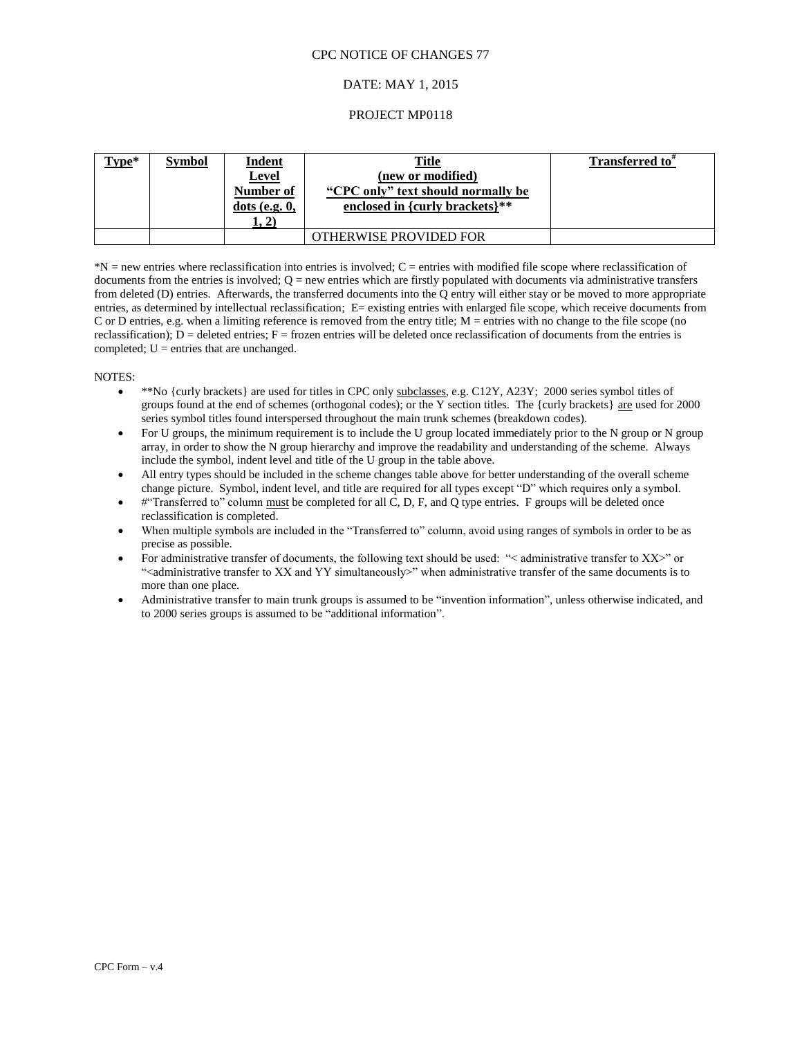#### DATE: MAY 1, 2015

#### PROJECT MP0118

| Type* | <b>Symbol</b> | <b>Indent</b><br><b>Level</b><br>Number of<br>$dots$ (e.g. $0$ ,<br>1, 2) | <b>Title</b><br>(new or modified)<br>"CPC only" text should normally be<br>enclosed in {curly brackets}** | Transferred to" |
|-------|---------------|---------------------------------------------------------------------------|-----------------------------------------------------------------------------------------------------------|-----------------|
|       |               |                                                                           | OTHERWISE PROVIDED FOR                                                                                    |                 |

\*N = new entries where reclassification into entries is involved; C = entries with modified file scope where reclassification of documents from the entries is involved;  $Q = new$  entries which are firstly populated with documents via administrative transfers from deleted (D) entries. Afterwards, the transferred documents into the Q entry will either stay or be moved to more appropriate entries, as determined by intellectual reclassification; E= existing entries with enlarged file scope, which receive documents from C or D entries, e.g. when a limiting reference is removed from the entry title; M = entries with no change to the file scope (no reclassification);  $D =$  deleted entries;  $F =$  frozen entries will be deleted once reclassification of documents from the entries is completed;  $U =$  entries that are unchanged.

#### NOTES:

- \*\*No {curly brackets} are used for titles in CPC only subclasses, e.g. C12Y, A23Y; 2000 series symbol titles of groups found at the end of schemes (orthogonal codes); or the Y section titles. The {curly brackets} are used for 2000 series symbol titles found interspersed throughout the main trunk schemes (breakdown codes).
- For U groups, the minimum requirement is to include the U group located immediately prior to the N group or N group array, in order to show the N group hierarchy and improve the readability and understanding of the scheme. Always include the symbol, indent level and title of the U group in the table above.
- All entry types should be included in the scheme changes table above for better understanding of the overall scheme change picture. Symbol, indent level, and title are required for all types except "D" which requires only a symbol.
- #"Transferred to" column must be completed for all C, D, F, and Q type entries. F groups will be deleted once reclassification is completed.
- When multiple symbols are included in the "Transferred to" column, avoid using ranges of symbols in order to be as precise as possible.
- For administrative transfer of documents, the following text should be used: "< administrative transfer to XX>" or ">sext<br/>administrative transfer to XX and YY simultaneously<br/>>" when administrative transfer of the same documents is to more than one place.
- Administrative transfer to main trunk groups is assumed to be "invention information", unless otherwise indicated, and to 2000 series groups is assumed to be "additional information".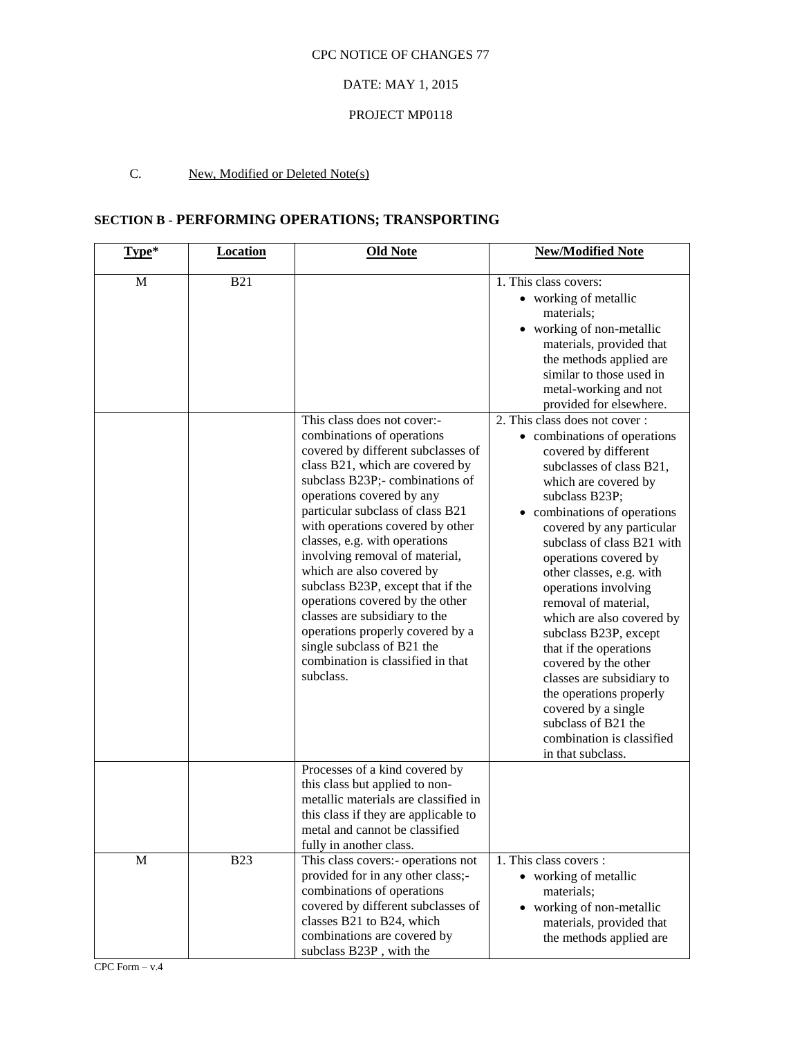## DATE: MAY 1, 2015

## PROJECT MP0118

# C. New, Modified or Deleted Note(s)

# **SECTION B - PERFORMING OPERATIONS; TRANSPORTING**

| Type*       | <b>Location</b> | <b>Old Note</b>                                                                                                                                                                                                                                                                                                                                                                                                                                                                                                                                                                                         | <b>New/Modified Note</b>                                                                                                                                                                                                                                                                                                                                                                                                                                                                                                                                                                                                                                                                                                                                                                                                                                        |
|-------------|-----------------|---------------------------------------------------------------------------------------------------------------------------------------------------------------------------------------------------------------------------------------------------------------------------------------------------------------------------------------------------------------------------------------------------------------------------------------------------------------------------------------------------------------------------------------------------------------------------------------------------------|-----------------------------------------------------------------------------------------------------------------------------------------------------------------------------------------------------------------------------------------------------------------------------------------------------------------------------------------------------------------------------------------------------------------------------------------------------------------------------------------------------------------------------------------------------------------------------------------------------------------------------------------------------------------------------------------------------------------------------------------------------------------------------------------------------------------------------------------------------------------|
| M           | <b>B21</b>      | This class does not cover:-<br>combinations of operations<br>covered by different subclasses of<br>class B21, which are covered by<br>subclass B23P;- combinations of<br>operations covered by any<br>particular subclass of class B21<br>with operations covered by other<br>classes, e.g. with operations<br>involving removal of material,<br>which are also covered by<br>subclass B23P, except that if the<br>operations covered by the other<br>classes are subsidiary to the<br>operations properly covered by a<br>single subclass of B21 the<br>combination is classified in that<br>subclass. | 1. This class covers:<br>• working of metallic<br>materials;<br>• working of non-metallic<br>materials, provided that<br>the methods applied are<br>similar to those used in<br>metal-working and not<br>provided for elsewhere.<br>2. This class does not cover:<br>• combinations of operations<br>covered by different<br>subclasses of class B21,<br>which are covered by<br>subclass B23P;<br>• combinations of operations<br>covered by any particular<br>subclass of class B21 with<br>operations covered by<br>other classes, e.g. with<br>operations involving<br>removal of material,<br>which are also covered by<br>subclass B23P, except<br>that if the operations<br>covered by the other<br>classes are subsidiary to<br>the operations properly<br>covered by a single<br>subclass of B21 the<br>combination is classified<br>in that subclass. |
|             |                 | Processes of a kind covered by<br>this class but applied to non-<br>metallic materials are classified in<br>this class if they are applicable to<br>metal and cannot be classified<br>fully in another class.                                                                                                                                                                                                                                                                                                                                                                                           |                                                                                                                                                                                                                                                                                                                                                                                                                                                                                                                                                                                                                                                                                                                                                                                                                                                                 |
| $\mathbf M$ | <b>B23</b>      | This class covers:- operations not<br>provided for in any other class;-<br>combinations of operations<br>covered by different subclasses of<br>classes B21 to B24, which<br>combinations are covered by<br>subclass B23P, with the                                                                                                                                                                                                                                                                                                                                                                      | 1. This class covers :<br>• working of metallic<br>materials;<br>• working of non-metallic<br>materials, provided that<br>the methods applied are                                                                                                                                                                                                                                                                                                                                                                                                                                                                                                                                                                                                                                                                                                               |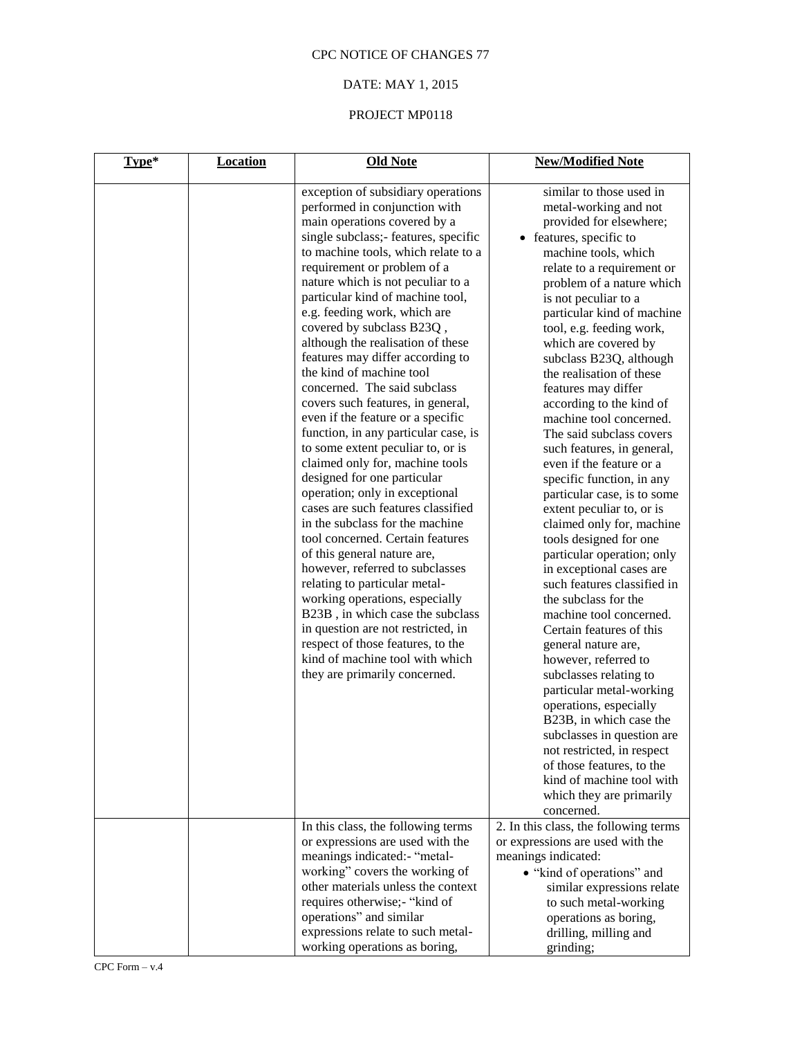# DATE: MAY 1, 2015

| Type* | <b>Location</b> | <b>Old Note</b>                                                                                                                                                                                                                                                                                                                                                                                                                                                                                                                                                                                                                                                                                                                                                                                                                                                                                                                                                                                                                                                                                                                                                                             | <b>New/Modified Note</b>                                                                                                                                                                                                                                                                                                                                                                                                                                                                                                                                                                                                                                                                                                                                                                                                                                                                                                                                                                                                                                                                                   |
|-------|-----------------|---------------------------------------------------------------------------------------------------------------------------------------------------------------------------------------------------------------------------------------------------------------------------------------------------------------------------------------------------------------------------------------------------------------------------------------------------------------------------------------------------------------------------------------------------------------------------------------------------------------------------------------------------------------------------------------------------------------------------------------------------------------------------------------------------------------------------------------------------------------------------------------------------------------------------------------------------------------------------------------------------------------------------------------------------------------------------------------------------------------------------------------------------------------------------------------------|------------------------------------------------------------------------------------------------------------------------------------------------------------------------------------------------------------------------------------------------------------------------------------------------------------------------------------------------------------------------------------------------------------------------------------------------------------------------------------------------------------------------------------------------------------------------------------------------------------------------------------------------------------------------------------------------------------------------------------------------------------------------------------------------------------------------------------------------------------------------------------------------------------------------------------------------------------------------------------------------------------------------------------------------------------------------------------------------------------|
|       |                 | exception of subsidiary operations<br>performed in conjunction with<br>main operations covered by a<br>single subclass; features, specific<br>to machine tools, which relate to a<br>requirement or problem of a<br>nature which is not peculiar to a<br>particular kind of machine tool,<br>e.g. feeding work, which are<br>covered by subclass B23Q,<br>although the realisation of these<br>features may differ according to<br>the kind of machine tool<br>concerned. The said subclass<br>covers such features, in general,<br>even if the feature or a specific<br>function, in any particular case, is<br>to some extent peculiar to, or is<br>claimed only for, machine tools<br>designed for one particular<br>operation; only in exceptional<br>cases are such features classified<br>in the subclass for the machine<br>tool concerned. Certain features<br>of this general nature are,<br>however, referred to subclasses<br>relating to particular metal-<br>working operations, especially<br>B23B, in which case the subclass<br>in question are not restricted, in<br>respect of those features, to the<br>kind of machine tool with which<br>they are primarily concerned. | similar to those used in<br>metal-working and not<br>provided for elsewhere;<br>• features, specific to<br>machine tools, which<br>relate to a requirement or<br>problem of a nature which<br>is not peculiar to a<br>particular kind of machine<br>tool, e.g. feeding work,<br>which are covered by<br>subclass B23Q, although<br>the realisation of these<br>features may differ<br>according to the kind of<br>machine tool concerned.<br>The said subclass covers<br>such features, in general,<br>even if the feature or a<br>specific function, in any<br>particular case, is to some<br>extent peculiar to, or is<br>claimed only for, machine<br>tools designed for one<br>particular operation; only<br>in exceptional cases are<br>such features classified in<br>the subclass for the<br>machine tool concerned.<br>Certain features of this<br>general nature are,<br>however, referred to<br>subclasses relating to<br>particular metal-working<br>operations, especially<br>B23B, in which case the<br>subclasses in question are<br>not restricted, in respect<br>of those features, to the |
|       |                 |                                                                                                                                                                                                                                                                                                                                                                                                                                                                                                                                                                                                                                                                                                                                                                                                                                                                                                                                                                                                                                                                                                                                                                                             | kind of machine tool with<br>which they are primarily<br>concerned.                                                                                                                                                                                                                                                                                                                                                                                                                                                                                                                                                                                                                                                                                                                                                                                                                                                                                                                                                                                                                                        |
|       |                 | In this class, the following terms<br>or expressions are used with the<br>meanings indicated:- "metal-<br>working" covers the working of<br>other materials unless the context<br>requires otherwise;- "kind of<br>operations" and similar<br>expressions relate to such metal-<br>working operations as boring,                                                                                                                                                                                                                                                                                                                                                                                                                                                                                                                                                                                                                                                                                                                                                                                                                                                                            | 2. In this class, the following terms<br>or expressions are used with the<br>meanings indicated:<br>• "kind of operations" and<br>similar expressions relate<br>to such metal-working<br>operations as boring,<br>drilling, milling and<br>grinding;                                                                                                                                                                                                                                                                                                                                                                                                                                                                                                                                                                                                                                                                                                                                                                                                                                                       |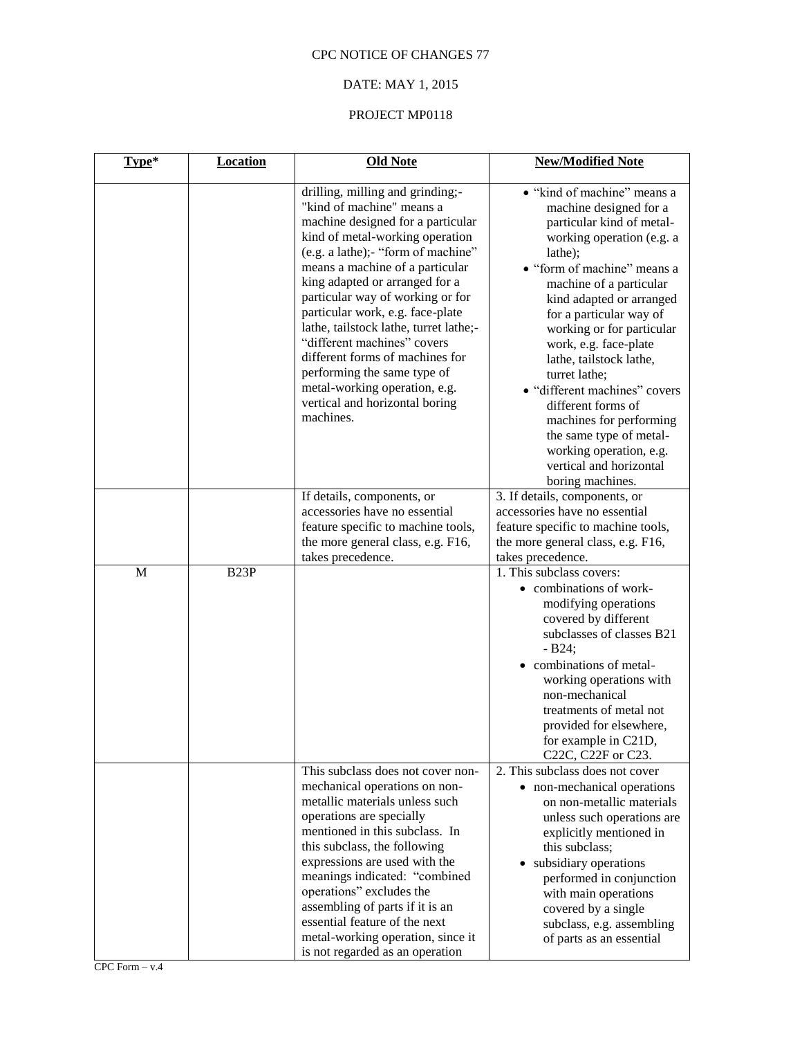# DATE: MAY 1, 2015

| Type*       | <b>Location</b>   | <b>Old Note</b>                                                                                                                                                                                                                                                                                                                                                                                                                                                                                                                                     | <b>New/Modified Note</b>                                                                                                                                                                                                                                                                                                                                                                                                                                                                                                             |
|-------------|-------------------|-----------------------------------------------------------------------------------------------------------------------------------------------------------------------------------------------------------------------------------------------------------------------------------------------------------------------------------------------------------------------------------------------------------------------------------------------------------------------------------------------------------------------------------------------------|--------------------------------------------------------------------------------------------------------------------------------------------------------------------------------------------------------------------------------------------------------------------------------------------------------------------------------------------------------------------------------------------------------------------------------------------------------------------------------------------------------------------------------------|
|             |                   | drilling, milling and grinding;-<br>"kind of machine" means a<br>machine designed for a particular<br>kind of metal-working operation<br>(e.g. a lathe);- "form of machine"<br>means a machine of a particular<br>king adapted or arranged for a<br>particular way of working or for<br>particular work, e.g. face-plate<br>lathe, tailstock lathe, turret lathe;-<br>"different machines" covers<br>different forms of machines for<br>performing the same type of<br>metal-working operation, e.g.<br>vertical and horizontal boring<br>machines. | • "kind of machine" means a<br>machine designed for a<br>particular kind of metal-<br>working operation (e.g. a<br>lathe);<br>• "form of machine" means a<br>machine of a particular<br>kind adapted or arranged<br>for a particular way of<br>working or for particular<br>work, e.g. face-plate<br>lathe, tailstock lathe,<br>turret lathe;<br>· "different machines" covers<br>different forms of<br>machines for performing<br>the same type of metal-<br>working operation, e.g.<br>vertical and horizontal<br>boring machines. |
|             |                   | If details, components, or<br>accessories have no essential<br>feature specific to machine tools,<br>the more general class, e.g. F16,<br>takes precedence.                                                                                                                                                                                                                                                                                                                                                                                         | 3. If details, components, or<br>accessories have no essential<br>feature specific to machine tools,<br>the more general class, e.g. F16,<br>takes precedence.                                                                                                                                                                                                                                                                                                                                                                       |
| $\mathbf M$ | B <sub>23</sub> P |                                                                                                                                                                                                                                                                                                                                                                                                                                                                                                                                                     | 1. This subclass covers:<br>• combinations of work-<br>modifying operations<br>covered by different<br>subclasses of classes B21<br>$-B24;$<br>• combinations of metal-<br>working operations with<br>non-mechanical<br>treatments of metal not<br>provided for elsewhere,<br>for example in C21D,<br>C22C, C22F or C23.                                                                                                                                                                                                             |
|             |                   | This subclass does not cover non-<br>mechanical operations on non-<br>metallic materials unless such<br>operations are specially<br>mentioned in this subclass. In<br>this subclass, the following<br>expressions are used with the<br>meanings indicated: "combined<br>operations" excludes the<br>assembling of parts if it is an<br>essential feature of the next<br>metal-working operation, since it<br>is not regarded as an operation                                                                                                        | 2. This subclass does not cover<br>• non-mechanical operations<br>on non-metallic materials<br>unless such operations are<br>explicitly mentioned in<br>this subclass;<br>• subsidiary operations<br>performed in conjunction<br>with main operations<br>covered by a single<br>subclass, e.g. assembling<br>of parts as an essential                                                                                                                                                                                                |